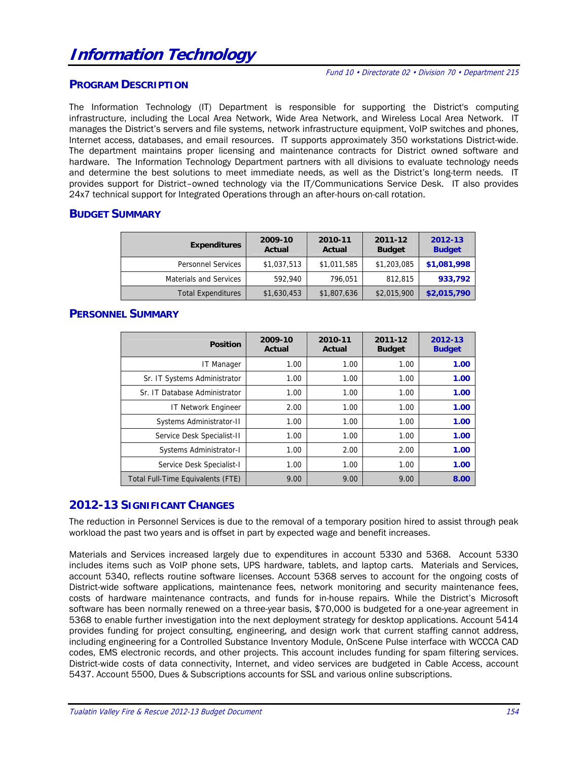#### **PROGRAM DESCRIPTION**

The Information Technology (IT) Department is responsible for supporting the District's computing infrastructure, including the Local Area Network, Wide Area Network, and Wireless Local Area Network. IT manages the District's servers and file systems, network infrastructure equipment, VoIP switches and phones, Internet access, databases, and email resources. IT supports approximately 350 workstations District-wide. The department maintains proper licensing and maintenance contracts for District owned software and hardware. The Information Technology Department partners with all divisions to evaluate technology needs and determine the best solutions to meet immediate needs, as well as the District's long-term needs. IT provides support for District–owned technology via the IT/Communications Service Desk. IT also provides 24x7 technical support for Integrated Operations through an after-hours on-call rotation.

#### **BUDGET SUMMARY**

| <b>Expenditures</b>           | 2009-10<br>Actual | 2010-11<br>Actual | 2011-12<br><b>Budget</b> | 2012-13<br><b>Budget</b> |
|-------------------------------|-------------------|-------------------|--------------------------|--------------------------|
| <b>Personnel Services</b>     | \$1,037,513       | \$1,011,585       | \$1,203,085              | \$1,081,998              |
| <b>Materials and Services</b> | 592,940           | 796,051           | 812,815                  | 933,792                  |
| <b>Total Expenditures</b>     | \$1,630,453       | \$1,807,636       | \$2,015,900              | \$2,015,790              |

# **PERSONNEL SUMMARY**

| <b>Position</b>                   | 2009-10<br>Actual | 2010-11<br>Actual | 2011-12<br><b>Budget</b> | 2012-13<br><b>Budget</b> |
|-----------------------------------|-------------------|-------------------|--------------------------|--------------------------|
| IT Manager                        | 1.00              | 1.00              | 1.00                     | 1.00                     |
| Sr. IT Systems Administrator      | 1.00              | 1.00              | 1.00                     | 1.00                     |
| Sr. IT Database Administrator     | 1.00              | 1.00              | 1.00                     | 1.00                     |
| <b>IT Network Engineer</b>        | 2.00              | 1.00              | 1.00                     | 1.00                     |
| Systems Administrator-II          | 1.00              | 1.00              | 1.00                     | 1.00                     |
| Service Desk Specialist-II        | 1.00              | 1.00              | 1.00                     | 1.00                     |
| Systems Administrator-I           | 1.00              | 2.00              | 2.00                     | 1.00                     |
| Service Desk Specialist-I         | 1.00              | 1.00              | 1.00                     | 1.00                     |
| Total Full-Time Equivalents (FTE) | 9.00              | 9.00              | 9.00                     | 8.00                     |

## **2012-13 SIGNIFICANT CHANGES**

The reduction in Personnel Services is due to the removal of a temporary position hired to assist through peak workload the past two years and is offset in part by expected wage and benefit increases.

Materials and Services increased largely due to expenditures in account 5330 and 5368. Account 5330 includes items such as VoIP phone sets, UPS hardware, tablets, and laptop carts. Materials and Services, account 5340, reflects routine software licenses. Account 5368 serves to account for the ongoing costs of District-wide software applications, maintenance fees, network monitoring and security maintenance fees, costs of hardware maintenance contracts, and funds for in-house repairs. While the District's Microsoft software has been normally renewed on a three-year basis, \$70,000 is budgeted for a one-year agreement in 5368 to enable further investigation into the next deployment strategy for desktop applications. Account 5414 provides funding for project consulting, engineering, and design work that current staffing cannot address, including engineering for a Controlled Substance Inventory Module, OnScene Pulse interface with WCCCA CAD codes, EMS electronic records, and other projects. This account includes funding for spam filtering services. District-wide costs of data connectivity, Internet, and video services are budgeted in Cable Access, account 5437. Account 5500, Dues & Subscriptions accounts for SSL and various online subscriptions.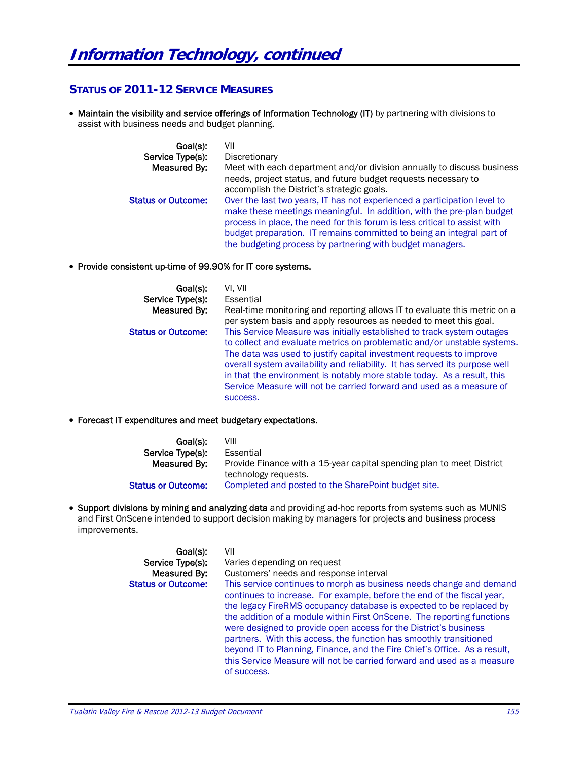# **STATUS OF 2011-12 SERVICE MEASURES**

• Maintain the visibility and service offerings of Information Technology (IT) by partnering with divisions to assist with business needs and budget planning.

| Goal(s):                  | VII                                                                                                                                                                                                                            |
|---------------------------|--------------------------------------------------------------------------------------------------------------------------------------------------------------------------------------------------------------------------------|
| Service Type(s):          | Discretionary                                                                                                                                                                                                                  |
| Measured By:              | Meet with each department and/or division annually to discuss business<br>needs, project status, and future budget requests necessary to                                                                                       |
|                           | accomplish the District's strategic goals.                                                                                                                                                                                     |
| <b>Status or Outcome:</b> | Over the last two years, IT has not experienced a participation level to<br>make these meetings meaningful. In addition, with the pre-plan budget<br>process in place, the need for this forum is less critical to assist with |
|                           | budget preparation. IT remains committed to being an integral part of<br>the budgeting process by partnering with budget managers.                                                                                             |

#### Provide consistent up-time of 99.90% for IT core systems.

| Goal(s):                  | VI. VII                                                                                                                                                                                                                                                                                                                                                                                                                                                                |
|---------------------------|------------------------------------------------------------------------------------------------------------------------------------------------------------------------------------------------------------------------------------------------------------------------------------------------------------------------------------------------------------------------------------------------------------------------------------------------------------------------|
| Service Type(s):          | Essential                                                                                                                                                                                                                                                                                                                                                                                                                                                              |
| Measured By:              | Real-time monitoring and reporting allows IT to evaluate this metric on a<br>per system basis and apply resources as needed to meet this goal.                                                                                                                                                                                                                                                                                                                         |
| <b>Status or Outcome:</b> | This Service Measure was initially established to track system outages<br>to collect and evaluate metrics on problematic and/or unstable systems.<br>The data was used to justify capital investment requests to improve<br>overall system availability and reliability. It has served its purpose well<br>in that the environment is notably more stable today. As a result, this<br>Service Measure will not be carried forward and used as a measure of<br>success. |

#### Forecast IT expenditures and meet budgetary expectations.

| Goal(s):                  | VIII                                                                  |
|---------------------------|-----------------------------------------------------------------------|
| Service Type(s):          | Essential                                                             |
| Measured By:              | Provide Finance with a 15-year capital spending plan to meet District |
|                           | technology requests.                                                  |
| <b>Status or Outcome:</b> | Completed and posted to the SharePoint budget site.                   |

• Support divisions by mining and analyzing data and providing ad-hoc reports from systems such as MUNIS and First OnScene intended to support decision making by managers for projects and business process improvements.

| Goal(s):<br>Service Type(s): | VII<br>Varies depending on request                                                                                                                                                                                                                                                                                                                                                                                                                                                                                                                                                                             |
|------------------------------|----------------------------------------------------------------------------------------------------------------------------------------------------------------------------------------------------------------------------------------------------------------------------------------------------------------------------------------------------------------------------------------------------------------------------------------------------------------------------------------------------------------------------------------------------------------------------------------------------------------|
| Measured By:                 | Customers' needs and response interval                                                                                                                                                                                                                                                                                                                                                                                                                                                                                                                                                                         |
| <b>Status or Outcome:</b>    | This service continues to morph as business needs change and demand<br>continues to increase. For example, before the end of the fiscal year,<br>the legacy FireRMS occupancy database is expected to be replaced by<br>the addition of a module within First OnScene. The reporting functions<br>were designed to provide open access for the District's business<br>partners. With this access, the function has smoothly transitioned<br>beyond IT to Planning, Finance, and the Fire Chief's Office. As a result,<br>this Service Measure will not be carried forward and used as a measure<br>of success. |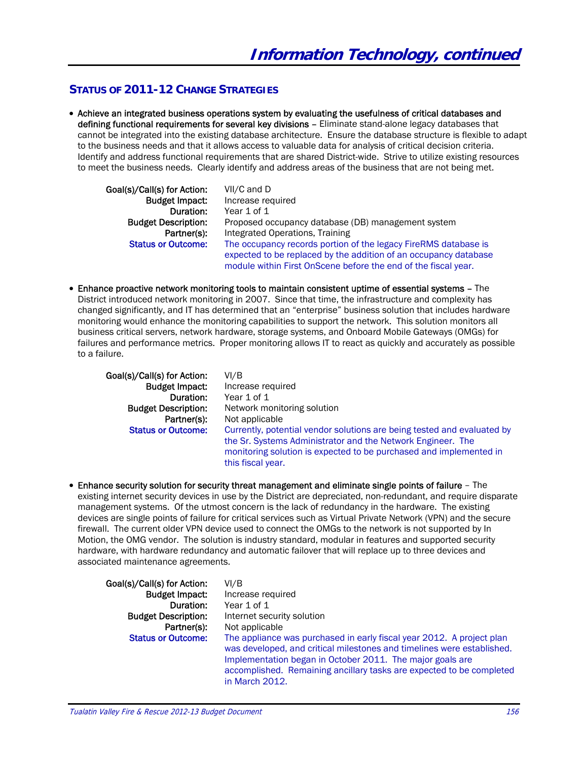# **STATUS OF 2011-12 CHANGE STRATEGIES**

 Achieve an integrated business operations system by evaluating the usefulness of critical databases and defining functional requirements for several key divisions – Eliminate stand-alone legacy databases that cannot be integrated into the existing database architecture. Ensure the database structure is flexible to adapt to the business needs and that it allows access to valuable data for analysis of critical decision criteria. Identify and address functional requirements that are shared District-wide. Strive to utilize existing resources to meet the business needs. Clearly identify and address areas of the business that are not being met.

| Goal(s)/Call(s) for Action: | VII/C and D                                                      |
|-----------------------------|------------------------------------------------------------------|
| <b>Budget Impact:</b>       | Increase required                                                |
| Duration:                   | Year 1 of 1                                                      |
| <b>Budget Description:</b>  | Proposed occupancy database (DB) management system               |
| Partner(s):                 | Integrated Operations, Training                                  |
| <b>Status or Outcome:</b>   | The occupancy records portion of the legacy FireRMS database is  |
|                             | expected to be replaced by the addition of an occupancy database |
|                             | module within First OnScene before the end of the fiscal year.   |

 Enhance proactive network monitoring tools to maintain consistent uptime of essential systems – The District introduced network monitoring in 2007. Since that time, the infrastructure and complexity has changed significantly, and IT has determined that an "enterprise" business solution that includes hardware monitoring would enhance the monitoring capabilities to support the network. This solution monitors all business critical servers, network hardware, storage systems, and Onboard Mobile Gateways (OMGs) for failures and performance metrics. Proper monitoring allows IT to react as quickly and accurately as possible to a failure.

Goal(s)/Call(s) for Action: VI/B

**Budget Impact:** Increase required<br>
Duration: Year 1 of 1 Year 1 of 1 **Budget Description:** Network monitoring solution Partner(s): Not applicable **Status or Outcome:** Currently, potential vendor solutions are being tested and evaluated by the Sr. Systems Administrator and the Network Engineer. The monitoring solution is expected to be purchased and implemented in this fiscal year.

 Enhance security solution for security threat management and eliminate single points of failure – The existing internet security devices in use by the District are depreciated, non-redundant, and require disparate management systems. Of the utmost concern is the lack of redundancy in the hardware. The existing devices are single points of failure for critical services such as Virtual Private Network (VPN) and the secure firewall. The current older VPN device used to connect the OMGs to the network is not supported by In Motion, the OMG vendor. The solution is industry standard, modular in features and supported security hardware, with hardware redundancy and automatic failover that will replace up to three devices and associated maintenance agreements.

| Goal(s)/Call(s) for Action: | VI/B                                                                                                                                                                                                                                                                                                   |
|-----------------------------|--------------------------------------------------------------------------------------------------------------------------------------------------------------------------------------------------------------------------------------------------------------------------------------------------------|
| <b>Budget Impact:</b>       | Increase required                                                                                                                                                                                                                                                                                      |
| Duration:                   | Year 1 of 1                                                                                                                                                                                                                                                                                            |
| <b>Budget Description:</b>  | Internet security solution                                                                                                                                                                                                                                                                             |
| Partner(s):                 | Not applicable                                                                                                                                                                                                                                                                                         |
| <b>Status or Outcome:</b>   | The appliance was purchased in early fiscal year 2012. A project plan<br>was developed, and critical milestones and timelines were established.<br>Implementation began in October 2011. The major goals are<br>accomplished. Remaining ancillary tasks are expected to be completed<br>in March 2012. |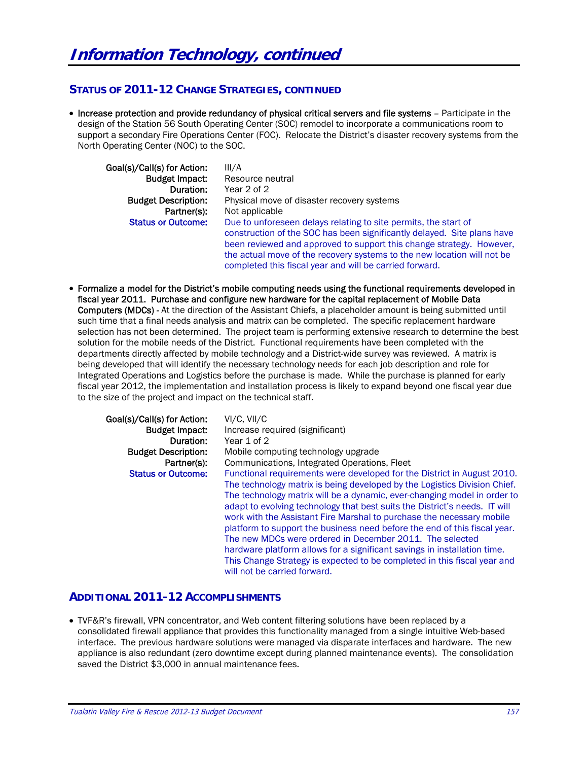# **STATUS OF 2011-12 CHANGE STRATEGIES, CONTINUED**

• Increase protection and provide redundancy of physical critical servers and file systems - Participate in the design of the Station 56 South Operating Center (SOC) remodel to incorporate a communications room to support a secondary Fire Operations Center (FOC). Relocate the District's disaster recovery systems from the North Operating Center (NOC) to the SOC.

| Goal(s)/Call(s) for Action: | III/A                                                                   |
|-----------------------------|-------------------------------------------------------------------------|
| <b>Budget Impact:</b>       | Resource neutral                                                        |
| Duration:                   | Year 2 of 2                                                             |
| <b>Budget Description:</b>  | Physical move of disaster recovery systems                              |
| Partner(s):                 | Not applicable                                                          |
| <b>Status or Outcome:</b>   | Due to unforeseen delays relating to site permits, the start of         |
|                             | construction of the SOC has been significantly delayed. Site plans have |
|                             | been reviewed and approved to support this change strategy. However,    |
|                             | the actual move of the recovery systems to the new location will not be |
|                             | completed this fiscal year and will be carried forward.                 |

 Formalize a model for the District's mobile computing needs using the functional requirements developed in fiscal year 2011. Purchase and configure new hardware for the capital replacement of Mobile Data Computers (MDCs) - At the direction of the Assistant Chiefs, a placeholder amount is being submitted until such time that a final needs analysis and matrix can be completed. The specific replacement hardware selection has not been determined. The project team is performing extensive research to determine the best solution for the mobile needs of the District. Functional requirements have been completed with the departments directly affected by mobile technology and a District-wide survey was reviewed. A matrix is being developed that will identify the necessary technology needs for each job description and role for Integrated Operations and Logistics before the purchase is made. While the purchase is planned for early fiscal year 2012, the implementation and installation process is likely to expand beyond one fiscal year due to the size of the project and impact on the technical staff.

| Goal(s)/Call(s) for Action: | VI/C, VII/C                                                                |
|-----------------------------|----------------------------------------------------------------------------|
| <b>Budget Impact:</b>       | Increase required (significant)                                            |
| Duration:                   | Year 1 of 2                                                                |
| <b>Budget Description:</b>  | Mobile computing technology upgrade                                        |
| Partner(s):                 | Communications, Integrated Operations, Fleet                               |
| <b>Status or Outcome:</b>   | Functional requirements were developed for the District in August 2010.    |
|                             | The technology matrix is being developed by the Logistics Division Chief.  |
|                             | The technology matrix will be a dynamic, ever-changing model in order to   |
|                             | adapt to evolving technology that best suits the District's needs. IT will |
|                             | work with the Assistant Fire Marshal to purchase the necessary mobile      |
|                             | platform to support the business need before the end of this fiscal year.  |
|                             | The new MDCs were ordered in December 2011. The selected                   |
|                             | hardware platform allows for a significant savings in installation time.   |
|                             | This Change Strategy is expected to be completed in this fiscal year and   |
|                             | will not be carried forward.                                               |

## **ADDITIONAL 2011-12 ACCOMPLISHMENTS**

 TVF&R's firewall, VPN concentrator, and Web content filtering solutions have been replaced by a consolidated firewall appliance that provides this functionality managed from a single intuitive Web-based interface. The previous hardware solutions were managed via disparate interfaces and hardware. The new appliance is also redundant (zero downtime except during planned maintenance events). The consolidation saved the District \$3,000 in annual maintenance fees.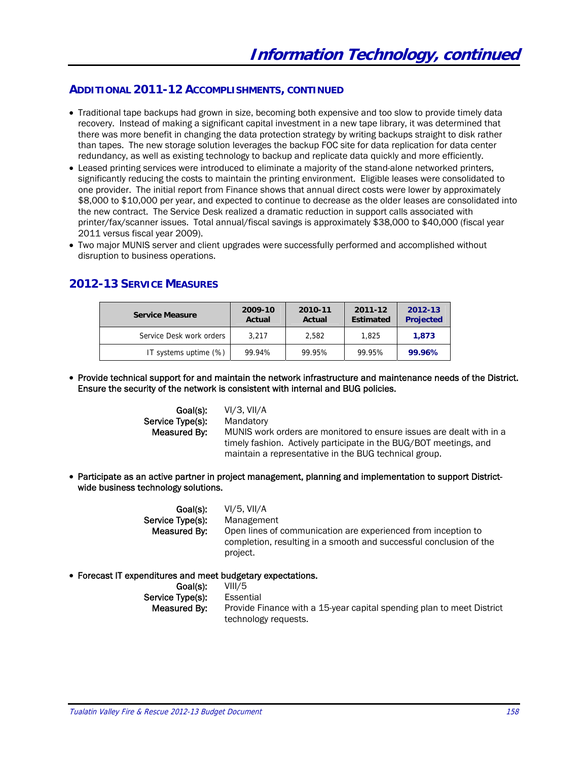#### **ADDITIONAL 2011-12 ACCOMPLISHMENTS, CONTINUED**

- Traditional tape backups had grown in size, becoming both expensive and too slow to provide timely data recovery. Instead of making a significant capital investment in a new tape library, it was determined that there was more benefit in changing the data protection strategy by writing backups straight to disk rather than tapes. The new storage solution leverages the backup FOC site for data replication for data center redundancy, as well as existing technology to backup and replicate data quickly and more efficiently.
- Leased printing services were introduced to eliminate a majority of the stand-alone networked printers, significantly reducing the costs to maintain the printing environment. Eligible leases were consolidated to one provider. The initial report from Finance shows that annual direct costs were lower by approximately \$8,000 to \$10,000 per year, and expected to continue to decrease as the older leases are consolidated into the new contract. The Service Desk realized a dramatic reduction in support calls associated with printer/fax/scanner issues. Total annual/fiscal savings is approximately \$38,000 to \$40,000 (fiscal year 2011 versus fiscal year 2009).
- Two major MUNIS server and client upgrades were successfully performed and accomplished without disruption to business operations.

# **2012-13 SERVICE MEASURES**

| <b>Service Measure</b>   | 2009-10<br>Actual | 2010-11<br>Actual | 2011-12<br><b>Estimated</b> | 2012-13<br><b>Projected</b> |
|--------------------------|-------------------|-------------------|-----------------------------|-----------------------------|
| Service Desk work orders | 3.217             | 2.582             | 1,825                       | 1.873                       |
| IT systems uptime (%)    | 99.94%            | 99.95%            | 99.95%                      | 99.96%                      |

 Provide technical support for and maintain the network infrastructure and maintenance needs of the District. Ensure the security of the network is consistent with internal and BUG policies.

| Goal(s):         | VI/3. VII/A                                                          |
|------------------|----------------------------------------------------------------------|
| Service Type(s): | Mandatory                                                            |
| Measured By:     | MUNIS work orders are monitored to ensure issues are dealt with in a |
|                  | timely fashion. Actively participate in the BUG/BOT meetings, and    |
|                  | maintain a representative in the BUG technical group.                |

 Participate as an active partner in project management, planning and implementation to support Districtwide business technology solutions.

| Goal(s):         | VI/5. VII/A                                                                                                                                     |
|------------------|-------------------------------------------------------------------------------------------------------------------------------------------------|
| Service Type(s): | Management                                                                                                                                      |
| Measured By:     | Open lines of communication are experienced from inception to<br>completion, resulting in a smooth and successful conclusion of the<br>project. |

#### Forecast IT expenditures and meet budgetary expectations.

| Goal(s):         | VIII/5                                                                |
|------------------|-----------------------------------------------------------------------|
| Service Type(s): | Essential                                                             |
| Measured By:     | Provide Finance with a 15-year capital spending plan to meet District |
|                  | technology requests.                                                  |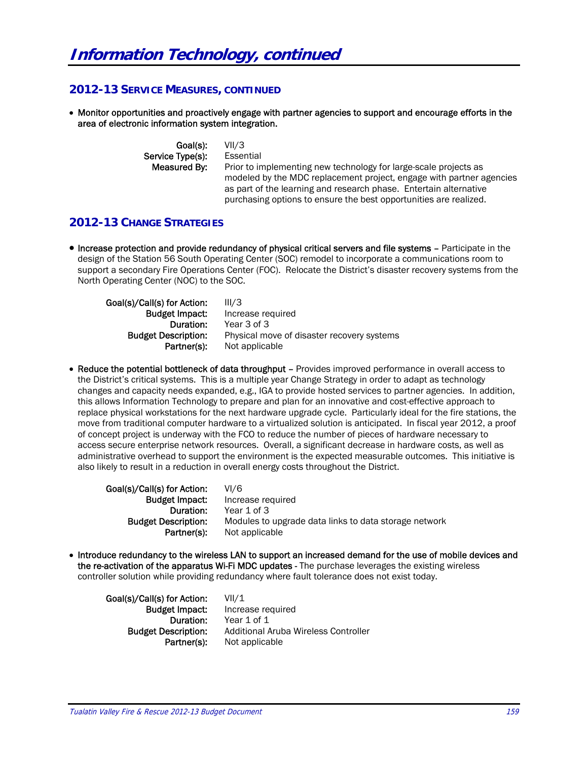# **2012-13 SERVICE MEASURES, CONTINUED**

 Monitor opportunities and proactively engage with partner agencies to support and encourage efforts in the area of electronic information system integration.

| Goal(s):         | VII/3                                                                |
|------------------|----------------------------------------------------------------------|
| Service Type(s): | Essential                                                            |
| Measured By:     | Prior to implementing new technology for large-scale projects as     |
|                  | modeled by the MDC replacement project, engage with partner agencies |
|                  | as part of the learning and research phase. Entertain alternative    |
|                  | purchasing options to ensure the best opportunities are realized.    |

## **2012-13 CHANGE STRATEGIES**

 Increase protection and provide redundancy of physical critical servers and file systems – Participate in the design of the Station 56 South Operating Center (SOC) remodel to incorporate a communications room to support a secondary Fire Operations Center (FOC). Relocate the District's disaster recovery systems from the North Operating Center (NOC) to the SOC.

| Goal(s)/Call(s) for Action: | III/3                                      |
|-----------------------------|--------------------------------------------|
| <b>Budget Impact:</b>       | Increase required                          |
| Duration:                   | Year 3 of 3                                |
| <b>Budget Description:</b>  | Physical move of disaster recovery systems |
| Partner(s):                 | Not applicable                             |

 Reduce the potential bottleneck of data throughput – Provides improved performance in overall access to the District's critical systems. This is a multiple year Change Strategy in order to adapt as technology changes and capacity needs expanded, e.g., IGA to provide hosted services to partner agencies. In addition, this allows Information Technology to prepare and plan for an innovative and cost-effective approach to replace physical workstations for the next hardware upgrade cycle. Particularly ideal for the fire stations, the move from traditional computer hardware to a virtualized solution is anticipated. In fiscal year 2012, a proof of concept project is underway with the FCO to reduce the number of pieces of hardware necessary to access secure enterprise network resources. Overall, a significant decrease in hardware costs, as well as administrative overhead to support the environment is the expected measurable outcomes. This initiative is also likely to result in a reduction in overall energy costs throughout the District.

Goal(s)/Call(s) for Action: VI/6 Budget Impact: Increase required Duration: Year 1 of 3 **Budget Description:** Modules to upgrade data links to data storage network Partner(s): Not applicable

 Introduce redundancy to the wireless LAN to support an increased demand for the use of mobile devices and the re-activation of the apparatus Wi-Fi MDC updates - The purchase leverages the existing wireless controller solution while providing redundancy where fault tolerance does not exist today.

Goal(s)/Call(s) for Action: VII/1

**Budget Impact:** Increase required Duration: Year 1 of 1 Budget Description: Additional Aruba Wireless Controller Partner(s): Not applicable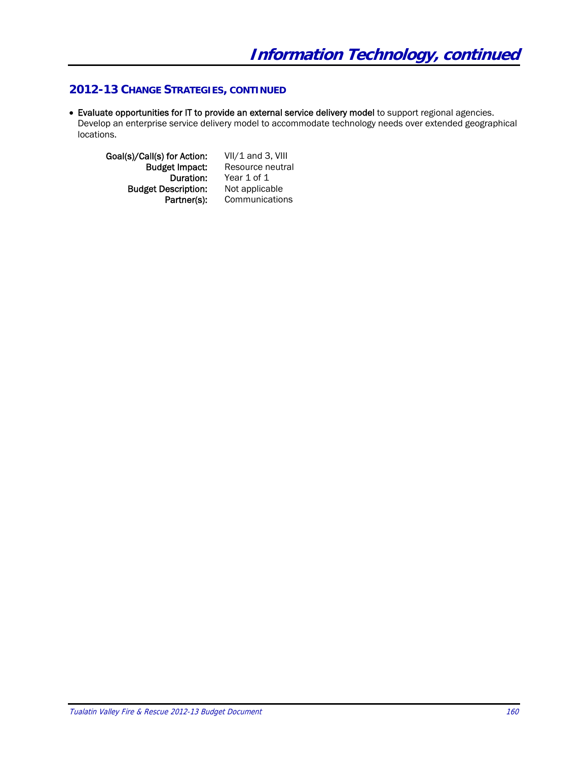# **2012-13 CHANGE STRATEGIES, CONTINUED**

 Evaluate opportunities for IT to provide an external service delivery model to support regional agencies. Develop an enterprise service delivery model to accommodate technology needs over extended geographical locations.

Goal(s)/Call(s) for Action: VII/1 and 3, VIII<br>Budget Impact: Resource neutra et Impact: Resource neutral<br>Duration: Year 1 of 1 **Budget Description:** Not applicable Partner(s): Communications

Year 1 of 1